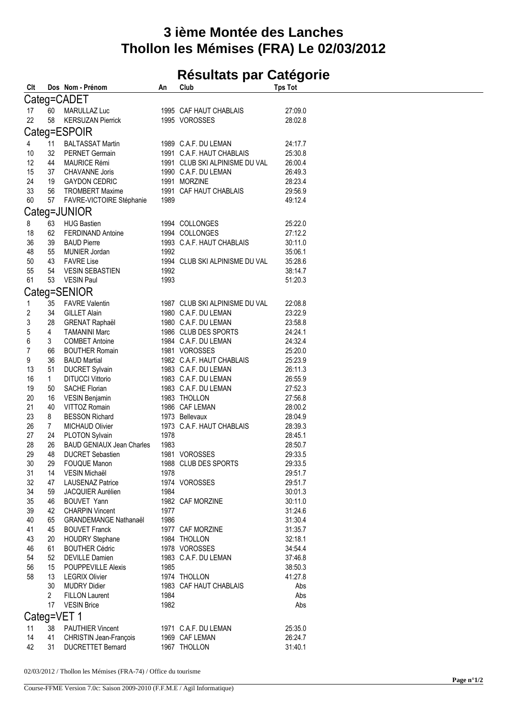## **3 ième Montée des Lanches Thollon les Mémises (FRA) Le 02/03/2012**

## **Résultats par Catégorie**

| Clt                     |                | Dos Nom - Prénom                 | An   | Club                           | <b>Tps Tot</b> |
|-------------------------|----------------|----------------------------------|------|--------------------------------|----------------|
|                         |                | Categ=CADET                      |      |                                |                |
| 17                      | 60             | MARULLAZ Luc                     |      | 1995 CAF HAUT CHABLAIS         | 27:09.0        |
| 22                      | 58             | <b>KERSUZAN Pierrick</b>         |      | 1995 VOROSSES                  | 28:02.8        |
|                         |                |                                  |      |                                |                |
|                         |                | Categ=ESPOIR                     |      |                                |                |
| 4                       | 11             | <b>BALTASSAT Martin</b>          |      | 1989 C.A.F. DU LEMAN           | 24:17.7        |
| 10                      | 32             | <b>PERNET Germain</b>            |      | 1991 C.A.F. HAUT CHABLAIS      | 25:30.8        |
| 12                      | 44             | <b>MAURICE Rémi</b>              |      | 1991 CLUB SKI ALPINISME DU VAL | 26:00.4        |
| 15                      | 37             | <b>CHAVANNE Joris</b>            |      | 1990 C.A.F. DU LEMAN           | 26:49.3        |
| 24                      | 19             | <b>GAYDON CEDRIC</b>             |      | 1991 MORZINE                   | 28:23.4        |
| 33                      | 56             | <b>TROMBERT Maxime</b>           |      | 1991 CAF HAUT CHABLAIS         | 29:56.9        |
| 60                      | 57             | FAVRE-VICTOIRE Stéphanie         | 1989 |                                | 49:12.4        |
|                         |                |                                  |      |                                |                |
|                         |                | Categ=JUNIOR                     |      |                                |                |
| 8                       | 63             | <b>HUG Bastien</b>               |      | 1994 COLLONGES                 | 25:22.0        |
| 18                      | 62             | <b>FERDINAND Antoine</b>         |      | 1994 COLLONGES                 | 27:12.2        |
| 36                      | 39             | <b>BAUD Pierre</b>               |      | 1993 C.A.F. HAUT CHABLAIS      | 30:11.0        |
| 48                      | 55             | MUNIER Jordan                    | 1992 |                                | 35:06.1        |
| 50                      | 43             | FAVRE Lise                       |      | 1994 CLUB SKI ALPINISME DU VAL | 35:28.6        |
| 55                      | 54             | <b>VESIN SEBASTIEN</b>           | 1992 |                                | 38:14.7        |
| 61                      | 53             | <b>VESIN Paul</b>                | 1993 |                                | 51:20.3        |
|                         |                | Categ=SENIOR                     |      |                                |                |
|                         |                |                                  |      |                                |                |
| $\mathbf{1}$            | 35             | <b>FAVRE Valentin</b>            |      | 1987 CLUB SKI ALPINISME DU VAL | 22:08.8        |
| $\overline{\mathbf{c}}$ | 34             | <b>GILLET Alain</b>              |      | 1980 C.A.F. DU LEMAN           | 23:22.9        |
| 3                       | 28             | <b>GRENAT Raphaël</b>            |      | 1980 C.A.F. DU LEMAN           | 23:58.8        |
| 5                       | 4              | <b>TAMANINI Marc</b>             |      | 1986 CLUB DES SPORTS           | 24:24.1        |
| 6                       | 3 <sup>1</sup> | <b>COMBET Antoine</b>            |      | 1984 C.A.F. DU LEMAN           | 24:32.4        |
| $\overline{7}$          | 66             | <b>BOUTHER Romain</b>            |      | 1981 VOROSSES                  | 25:20.0        |
| 9                       | 36             | <b>BAUD Martial</b>              |      | 1982 C.A.F. HAUT CHABLAIS      | 25:23.9        |
| 13                      | 51             | <b>DUCRET Sylvain</b>            |      | 1983 C.A.F. DU LEMAN           | 26:11.3        |
| 16                      | $\mathbf{1}$   | <b>DITUCCI Vittorio</b>          |      | 1983 C.A.F. DU LEMAN           | 26:55.9        |
| 19                      | 50             | <b>SACHE Florian</b>             |      | 1983 C.A.F. DU LEMAN           | 27:52.3        |
| 20                      | 16             | VESIN Benjamin                   |      | 1983 THOLLON                   | 27:56.8        |
| 21                      | 40             | VITTOZ Romain                    |      | 1986 CAF LEMAN                 | 28:00.2        |
| 23                      | 8              | <b>BESSON Richard</b>            |      | 1973 Bellevaux                 | 28:04.9        |
| 26                      | $\overline{7}$ | <b>MICHAUD Olivier</b>           |      | 1973 C.A.F. HAUT CHABLAIS      | 28:39.3        |
| 27                      | 24             | PLOTON Sylvain                   | 1978 |                                | 28:45.1        |
| 28                      | 26             | <b>BAUD GENIAUX Jean Charles</b> | 1983 |                                | 28:50.7        |
| 29                      | 48             | <b>DUCRET Sebastien</b>          |      | 1981 VOROSSES                  | 29:33.5        |
| 30                      | 29             | FOUQUE Manon                     |      | 1988 CLUB DES SPORTS           | 29:33.5        |
| 31                      | 14             | VESIN Michaël                    | 1978 |                                | 29:51.7        |
| 32                      | 47             | <b>LAUSENAZ Patrice</b>          |      | 1974 VOROSSES                  | 29:51.7        |
| 34                      | 59             | JACQUIER Aurélien                | 1984 |                                | 30:01.3        |
| 35                      | 46             | <b>BOUVET Yann</b>               |      | 1982 CAF MORZINE               | 30:11.0        |
| 39                      | 42             | <b>CHARPIN Vincent</b>           | 1977 |                                | 31:24.6        |
| 40                      |                |                                  |      |                                |                |
| 41                      | 65             | <b>GRANDEMANGE Nathanaël</b>     | 1986 |                                | 31:30.4        |
|                         | 45             | <b>BOUVET Franck</b>             |      | 1977 CAF MORZINE               | 31:35.7        |
| 43                      | 20             | <b>HOUDRY Stephane</b>           |      | 1984 THOLLON                   | 32:18.1        |
| 46                      | 61             | <b>BOUTHER Cédric</b>            |      | 1978 VOROSSES                  | 34:54.4        |
| 54                      | 52             | <b>DEVILLE Damien</b>            |      | 1983 C.A.F. DU LEMAN           | 37:46.8        |
| 56                      | 15             | <b>POUPPEVILLE Alexis</b>        | 1985 |                                | 38:50.3        |
| 58                      | 13             | <b>LEGRIX Olivier</b>            |      | 1974 THOLLON                   | 41:27.8        |
|                         | 30             | <b>MUDRY Didier</b>              |      | 1983 CAF HAUT CHABLAIS         | Abs            |
|                         | $\overline{2}$ | <b>FILLON Laurent</b>            | 1984 |                                | Abs            |
|                         | 17             | <b>VESIN Brice</b>               | 1982 |                                | Abs            |
|                         |                | Categ=VET 1                      |      |                                |                |
|                         |                |                                  |      |                                |                |
| 11<br>14                | 38<br>41       | <b>PAUTHIER Vincent</b>          |      | 1971 C.A.F. DU LEMAN           | 25:35.0        |
|                         |                | CHRISTIN Jean-François           |      | 1969 CAF LEMAN                 | 26:24.7        |
| 42                      | 31             | <b>DUCRETTET Bernard</b>         |      | 1967 THOLLON                   | 31:40.1        |
|                         |                |                                  |      |                                |                |

02/03/2012 / Thollon les Mémises (FRA-74) / Office du tourisme